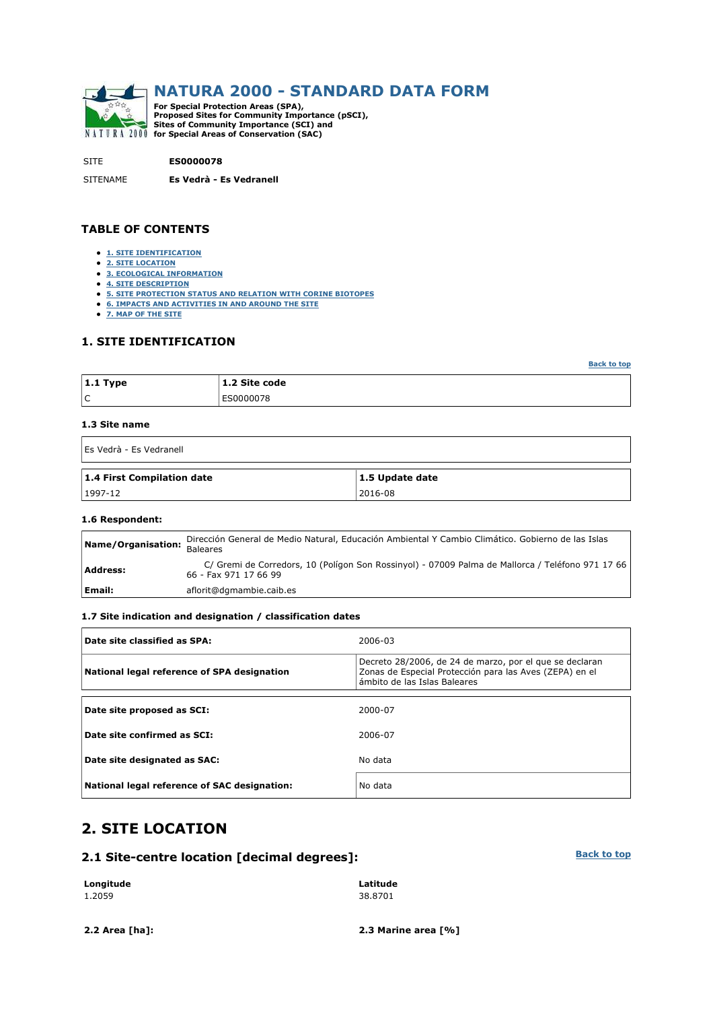

SITE **ES0000078**

SITENAME **Es Vedrà - Es Vedranell**

#### **TABLE OF CONTENTS**

- **1. SITE IDENTIFICATION**
- **2. SITE LOCATION**
- **3. ECOLOGICAL INFORMATION**
- **4. SITE DESCRIPTION**
- **5. SITE PROTECTION STATUS AND RELATION WITH CORINE BIOTOPES**
- **6. IMPACTS AND ACTIVITIES IN AND AROUND THE SITE**
- **7. MAP OF THE SITE**

#### **1. SITE IDENTIFICATION**

| $ 1.1$ Type | 1.2 Site code |
|-------------|---------------|
| ١C          | ES0000078     |

#### **1.3 Site name**

| Es Vedrà - Es Vedranell    |                 |
|----------------------------|-----------------|
| 1.4 First Compilation date | 1.5 Update date |
| 1997-12                    | 2016-08         |

#### **1.6 Respondent:**

| Name/Organisation: | Dirección General de Medio Natural, Educación Ambiental Y Cambio Climático. Gobierno de las Islas<br><b>Baleares</b>      |
|--------------------|---------------------------------------------------------------------------------------------------------------------------|
| Address:           | C/ Gremi de Corredors, 10 (Polígon Son Rossinyol) - 07009 Palma de Mallorca / Teléfono 971 17 66<br>66 - Fax 971 17 66 99 |
| Email:             | aflorit@dgmambie.caib.es                                                                                                  |

#### **1.7 Site indication and designation / classification dates**

| Date site classified as SPA:                 | 2006-03                                                                                                                                            |
|----------------------------------------------|----------------------------------------------------------------------------------------------------------------------------------------------------|
| National legal reference of SPA designation  | Decreto 28/2006, de 24 de marzo, por el que se declaran<br>Zonas de Especial Protección para las Aves (ZEPA) en el<br>ámbito de las Islas Baleares |
|                                              |                                                                                                                                                    |
| Date site proposed as SCI:                   | 2000-07                                                                                                                                            |
| Date site confirmed as SCI:                  | 2006-07                                                                                                                                            |
| Date site designated as SAC:                 | No data                                                                                                                                            |
| National legal reference of SAC designation: | No data                                                                                                                                            |

## **2. SITE LOCATION**

#### **2.1 Site-centre location [decimal degrees]:**

| Longitude | Latitude |
|-----------|----------|
| 1.2059    | 38.8701  |

**2.2 Area [ha]: 2.3 Marine area [%]**

#### **Back to top**

**Back to top**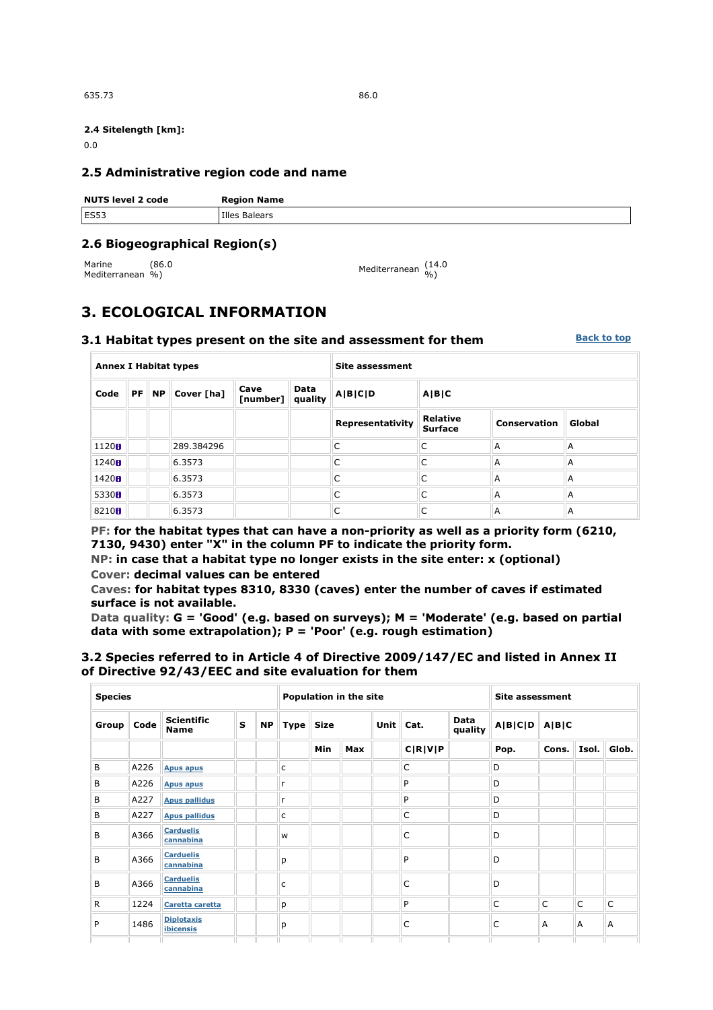635.73 86.0

#### **2.4 Sitelength [km]:**

0.0

#### **2.5 Administrative region code and name**

| <b>NUTS level 2 code</b> | <b>Region Name</b> |
|--------------------------|--------------------|
| ES53                     | Illes Balears      |

### **2.6 Biogeographical Region(s)**

Marine Mediterranean %) (86.0

```
%) Mediterranean (14.0 
%)
```
## **3. ECOLOGICAL INFORMATION**

#### **3.1 Habitat types present on the site and assessment for them Back to top**

| <b>Annex I Habitat types</b> |  |                   |            |                                     |  | <b>Site assessment</b> |                                   |              |        |  |  |  |
|------------------------------|--|-------------------|------------|-------------------------------------|--|------------------------|-----------------------------------|--------------|--------|--|--|--|
| Code                         |  | $PF \parallel NP$ | Cover [ha] | Data<br>Cave<br>[number]<br>quality |  | A B C D                | A B C                             |              |        |  |  |  |
|                              |  |                   |            |                                     |  | Representativity       | <b>Relative</b><br><b>Surface</b> | Conservation | Global |  |  |  |
| 1120B                        |  |                   | 289.384296 |                                     |  | C                      | C                                 | A            | A      |  |  |  |
| 1240H                        |  |                   | 6.3573     |                                     |  | C                      | C                                 | A            | A      |  |  |  |
| 1420H                        |  |                   | 6.3573     |                                     |  | C                      | C                                 | A            | A      |  |  |  |
| 5330H                        |  |                   | 6.3573     |                                     |  | C                      | C                                 | A            | A      |  |  |  |
| 8210 <sub>8</sub>            |  |                   | 6.3573     |                                     |  | C                      | C                                 | A            | A      |  |  |  |

**PF: for the habitat types that can have a non-priority as well as a priority form (6210, 7130, 9430) enter "X" in the column PF to indicate the priority form.** 

**NP: in case that a habitat type no longer exists in the site enter: x (optional) Cover: decimal values can be entered** 

**Caves: for habitat types 8310, 8330 (caves) enter the number of caves if estimated surface is not available.** 

**Data quality: G = 'Good' (e.g. based on surveys); M = 'Moderate' (e.g. based on partial data with some extrapolation); P = 'Poor' (e.g. rough estimation)** 

#### **3.2 Species referred to in Article 4 of Directive 2009/147/EC and listed in Annex II of Directive 92/43/EEC and site evaluation for them**

| <b>Species</b> |      |                                  |   |           |              | <b>Population in the site</b> |            | <b>Site assessment</b> |           |                        |         |       |                |              |
|----------------|------|----------------------------------|---|-----------|--------------|-------------------------------|------------|------------------------|-----------|------------------------|---------|-------|----------------|--------------|
| Group   Code   |      | <b>Scientific</b><br><b>Name</b> | S | <b>NP</b> | Type         | Size                          |            |                        | Unit Cat. | <b>Data</b><br>quality | A B C D | A B C |                |              |
|                |      |                                  |   |           |              | Min                           | <b>Max</b> |                        | C R V P   |                        | Pop.    | Cons. | Isol.          | Glob.        |
| B              | A226 | <b>Apus apus</b>                 |   |           | c            |                               |            |                        | C         |                        | D       |       |                |              |
| B              | A226 | <b>Apus apus</b>                 |   |           | $\mathsf{r}$ |                               |            |                        | P         |                        | D       |       |                |              |
| B              | A227 | <b>Apus pallidus</b>             |   |           | $\mathsf{r}$ |                               |            |                        | P         |                        | D       |       |                |              |
| B              | A227 | <b>Apus pallidus</b>             |   |           | c            |                               |            |                        | C         |                        | D       |       |                |              |
| B              | A366 | <b>Carduelis</b><br>cannabina    |   |           | W            |                               |            |                        | C         |                        | D       |       |                |              |
| B              | A366 | <b>Carduelis</b><br>cannabina    |   |           | р            |                               |            |                        | P         |                        | D       |       |                |              |
| B              | A366 | <b>Carduelis</b><br>cannabina    |   |           | c            |                               |            |                        | C         |                        | D       |       |                |              |
| R              | 1224 | Caretta caretta                  |   |           | p            |                               |            |                        | P         |                        | C       | C     | $\mathsf{C}$   | $\mathsf{C}$ |
| P              | 1486 | <b>Diplotaxis</b><br>ibicensis   |   |           | p            |                               |            |                        | C         |                        | C       | A     | $\overline{A}$ | A            |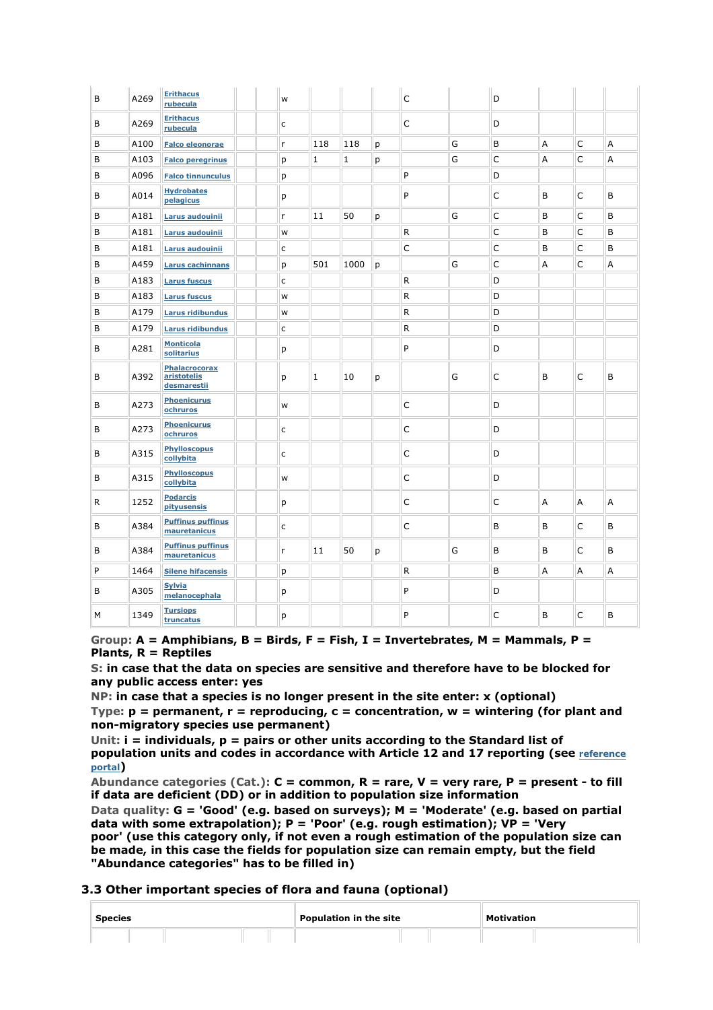| B | A269 | <b>Erithacus</b><br>rubecula                | W |              |      |   | $\mathsf{C}$ |   | D            |   |             |   |
|---|------|---------------------------------------------|---|--------------|------|---|--------------|---|--------------|---|-------------|---|
| B | A269 | <b>Erithacus</b><br>rubecula                | c |              |      |   | C            |   | D            |   |             |   |
| B | A100 | <b>Falco eleonorae</b>                      | r | 118          | 118  | p |              | G | B            | Α | C           | А |
| B | A103 | <b>Falco peregrinus</b>                     | p | $\mathbf{1}$ | 1    | р |              | G | $\mathsf{C}$ | A | C           | А |
| B | A096 | <b>Falco tinnunculus</b>                    | p |              |      |   | P            |   | D            |   |             |   |
| B | A014 | <b>Hydrobates</b><br>pelagicus              | p |              |      |   | P            |   | C            | B | C           | B |
| B | A181 | Larus audouinii                             | r | 11           | 50   | p |              | G | C            | B | C           | B |
| B | A181 | Larus audouinii                             | W |              |      |   | $\mathsf{R}$ |   | C            | B | C           | B |
| B | A181 | Larus audouinii                             | C |              |      |   | C            |   | C            | B | C           | B |
| B | A459 | <b>Larus cachinnans</b>                     | p | 501          | 1000 | p |              | G | $\mathsf C$  | Α | $\mathsf C$ | A |
| B | A183 | <b>Larus fuscus</b>                         | C |              |      |   | $\mathsf{R}$ |   | D            |   |             |   |
| B | A183 | <b>Larus fuscus</b>                         | W |              |      |   | $\mathsf{R}$ |   | D            |   |             |   |
| B | A179 | <b>Larus ridibundus</b>                     | W |              |      |   | R            |   | D            |   |             |   |
| B | A179 | <b>Larus ridibundus</b>                     | c |              |      |   | $\mathsf{R}$ |   | D            |   |             |   |
| B | A281 | <b>Monticola</b><br>solitarius              | p |              |      |   | P            |   | D            |   |             |   |
| B | A392 | Phalacrocorax<br>aristotelis<br>desmarestii | p | $\mathbf{1}$ | 10   | p |              | G | C            | B | C           | B |
| B | A273 | <b>Phoenicurus</b><br>ochruros              | W |              |      |   | C            |   | D            |   |             |   |
| B | A273 | <b>Phoenicurus</b><br>ochruros              | C |              |      |   | C            |   | D            |   |             |   |
| B | A315 | <b>Phylloscopus</b><br>collybita            | С |              |      |   | C            |   | D            |   |             |   |
| B | A315 | <b>Phylloscopus</b><br>collybita            | W |              |      |   | C            |   | D            |   |             |   |
| R | 1252 | <b>Podarcis</b><br>pityusensis              | p |              |      |   | C            |   | C            | A | A           | A |
| B | A384 | <b>Puffinus puffinus</b><br>mauretanicus    | С |              |      |   | $\mathsf{C}$ |   | B            | B | C           | B |
| B | A384 | <b>Puffinus puffinus</b><br>mauretanicus    | r | 11           | 50   | p |              | G | В            | В | C           | B |
| P | 1464 | <b>Silene hifacensis</b>                    | р |              |      |   | $\mathsf{R}$ |   | B            | Α | А           | А |
| B | A305 | <b>Sylvia</b><br>melanocephala              | р |              |      |   | P            |   | D            |   |             |   |
| М |      | <b>Tursiops</b>                             |   |              |      |   | P            |   | C            | B | C           | B |

**Group: A = Amphibians, B = Birds, F = Fish, I = Invertebrates, M = Mammals, P = Plants, R = Reptiles** 

**S: in case that the data on species are sensitive and therefore have to be blocked for any public access enter: yes** 

**NP: in case that a species is no longer present in the site enter: x (optional) Type: p = permanent, r = reproducing, c = concentration, w = wintering (for plant and non-migratory species use permanent)** 

**Unit: i = individuals, p = pairs or other units according to the Standard list of population units and codes in accordance with Article 12 and 17 reporting (see reference portal)** 

**Abundance categories (Cat.): C = common, R = rare, V = very rare, P = present - to fill if data are deficient (DD) or in addition to population size information** 

**Data quality: G = 'Good' (e.g. based on surveys); M = 'Moderate' (e.g. based on partial data with some extrapolation); P = 'Poor' (e.g. rough estimation); VP = 'Very poor' (use this category only, if not even a rough estimation of the population size can be made, in this case the fields for population size can remain empty, but the field "Abundance categories" has to be filled in)** 

#### **3.3 Other important species of flora and fauna (optional)**

| <b>Species</b> |  | Population in the site |  | <b>Motivation</b> |  |
|----------------|--|------------------------|--|-------------------|--|
|                |  |                        |  |                   |  |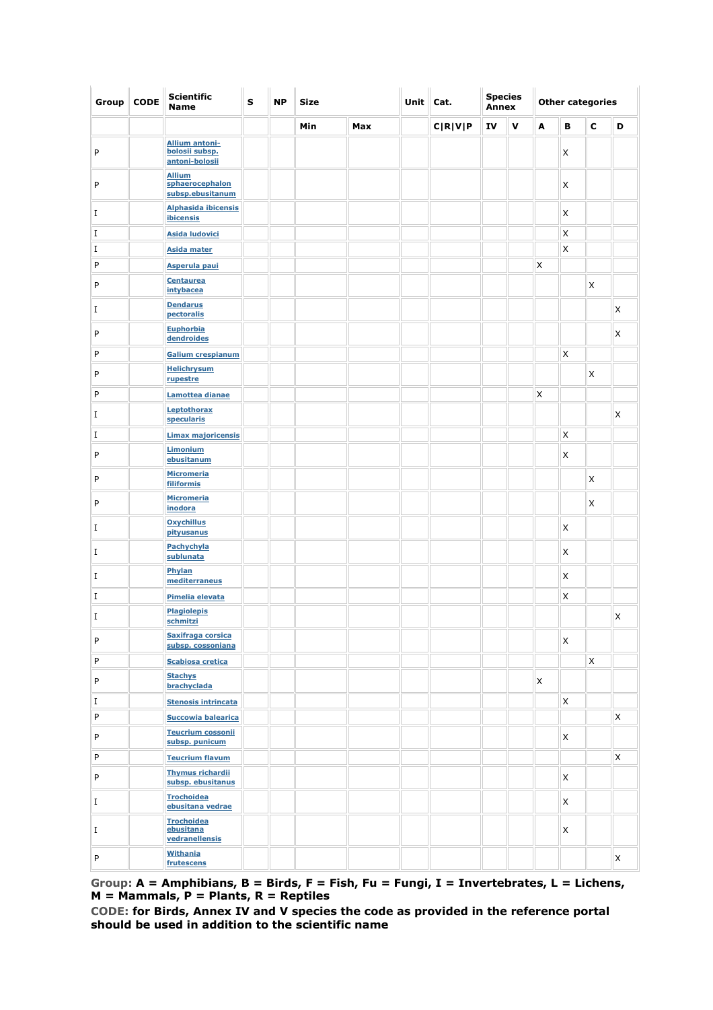| Group       | <b>CODE</b> | <b>Scientific</b><br><b>Name</b>                          | S | <b>NP</b> | Size |     | Unit | Cat.    | <b>Species</b><br><b>Annex</b> |              | <b>Other categories</b> |   |             |   |
|-------------|-------------|-----------------------------------------------------------|---|-----------|------|-----|------|---------|--------------------------------|--------------|-------------------------|---|-------------|---|
|             |             |                                                           |   |           | Min  | Max |      | C R V P | IV                             | $\mathbf{v}$ | A                       | в | $\mathbf c$ | D |
| P           |             | <b>Allium antoni-</b><br>bolosii subsp.<br>antoni-bolosii |   |           |      |     |      |         |                                |              |                         | X |             |   |
| P           |             | <b>Allium</b><br>sphaerocephalon<br>subsp.ebusitanum      |   |           |      |     |      |         |                                |              |                         | X |             |   |
| I           |             | <b>Alphasida ibicensis</b><br>ibicensis                   |   |           |      |     |      |         |                                |              |                         | X |             |   |
| I           |             | <b>Asida ludovici</b>                                     |   |           |      |     |      |         |                                |              |                         | X |             |   |
| I           |             | <b>Asida mater</b>                                        |   |           |      |     |      |         |                                |              |                         | X |             |   |
| P           |             | <b>Asperula paui</b>                                      |   |           |      |     |      |         |                                |              | X                       |   |             |   |
| P           |             | <b>Centaurea</b><br>intybacea                             |   |           |      |     |      |         |                                |              |                         |   | X           |   |
| I           |             | <b>Dendarus</b><br>pectoralis                             |   |           |      |     |      |         |                                |              |                         |   |             | X |
| P           |             | <b>Euphorbia</b><br>dendroides                            |   |           |      |     |      |         |                                |              |                         |   |             | X |
| P           |             | Galium crespianum                                         |   |           |      |     |      |         |                                |              |                         | Χ |             |   |
| P           |             | <b>Helichrysum</b><br>rupestre                            |   |           |      |     |      |         |                                |              |                         |   | X           |   |
| P           |             | Lamottea dianae                                           |   |           |      |     |      |         |                                |              | X                       |   |             |   |
| I           |             | Leptothorax<br>specularis                                 |   |           |      |     |      |         |                                |              |                         |   |             | X |
| I           |             | <b>Limax majoricensis</b>                                 |   |           |      |     |      |         |                                |              |                         | X |             |   |
| P           |             | Limonium<br>ebusitanum                                    |   |           |      |     |      |         |                                |              |                         | X |             |   |
| P           |             | <b>Micromeria</b><br>filiformis                           |   |           |      |     |      |         |                                |              |                         |   | X           |   |
| P           |             | <b>Micromeria</b><br>inodora                              |   |           |      |     |      |         |                                |              |                         |   | X           |   |
| I           |             | <b>Oxychillus</b><br>pityusanus                           |   |           |      |     |      |         |                                |              |                         | X |             |   |
| $\rm I$     |             | Pachychyla<br>sublunata                                   |   |           |      |     |      |         |                                |              |                         | X |             |   |
| $\rm I$     |             | Phylan<br>mediterraneus                                   |   |           |      |     |      |         |                                |              |                         | X |             |   |
| $\mathbf I$ |             | Pimelia elevata                                           |   |           |      |     |      |         |                                |              |                         | X |             |   |
| I           |             | <b>Plagiolepis</b><br>schmitzi                            |   |           |      |     |      |         |                                |              |                         |   |             | X |
| P           |             | Saxifraga corsica<br>subsp. cossoniana                    |   |           |      |     |      |         |                                |              |                         | X |             |   |
| $\sf P$     |             | <b>Scabiosa cretica</b>                                   |   |           |      |     |      |         |                                |              |                         |   | X           |   |
| P           |             | <b>Stachys</b><br>brachyclada                             |   |           |      |     |      |         |                                |              | X                       |   |             |   |
| I           |             | <b>Stenosis intrincata</b>                                |   |           |      |     |      |         |                                |              |                         | X |             |   |
| P           |             | Succowia balearica                                        |   |           |      |     |      |         |                                |              |                         |   |             | X |
| P           |             | <b>Teucrium cossonii</b><br>subsp. punicum                |   |           |      |     |      |         |                                |              |                         | X |             |   |
| P           |             | <b>Teucrium flavum</b>                                    |   |           |      |     |      |         |                                |              |                         |   |             | X |
| P           |             | <b>Thymus richardii</b><br>subsp. ebusitanus              |   |           |      |     |      |         |                                |              |                         | X |             |   |
| I           |             | <b>Trochoidea</b><br>ebusitana vedrae                     |   |           |      |     |      |         |                                |              |                         | X |             |   |
| I           |             | <b>Trochoidea</b><br>ebusitana<br>vedranellensis          |   |           |      |     |      |         |                                |              |                         | X |             |   |
| P           |             | <b>Withania</b><br>frutescens                             |   |           |      |     |      |         |                                |              |                         |   |             | X |

**Group: A = Amphibians, B = Birds, F = Fish, Fu = Fungi, I = Invertebrates, L = Lichens, M = Mammals, P = Plants, R = Reptiles** 

**CODE: for Birds, Annex IV and V species the code as provided in the reference portal should be used in addition to the scientific name**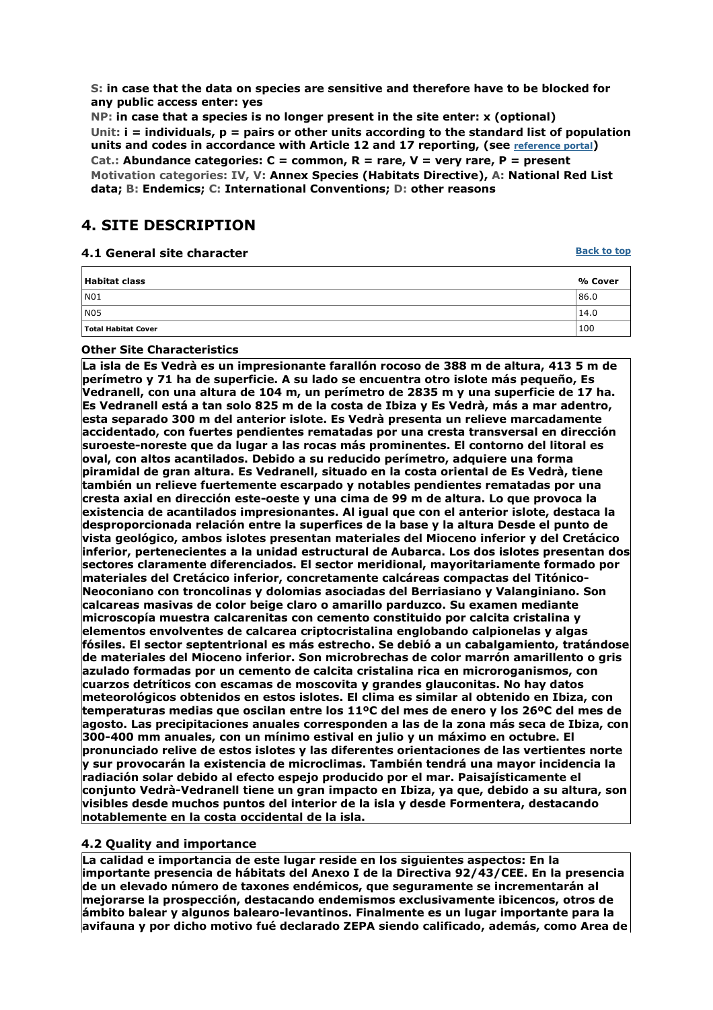**S: in case that the data on species are sensitive and therefore have to be blocked for any public access enter: yes** 

**NP: in case that a species is no longer present in the site enter: x (optional) Unit: i = individuals, p = pairs or other units according to the standard list of population**  units and codes in accordance with Article 12 and 17 reporting, (see **reference portal**) **Cat.: Abundance categories: C = common, R = rare, V = very rare, P = present Motivation categories: IV, V: Annex Species (Habitats Directive), A: National Red List data; B: Endemics; C: International Conventions; D: other reasons** 

## **4. SITE DESCRIPTION**

| 4.1 General site character | <b>Back to top</b> |
|----------------------------|--------------------|
| <b>Habitat class</b>       | % Cover            |
| N01                        | 86.0               |
| N <sub>05</sub>            | 14.0               |
| Total Habitat Cover        | 100                |

#### **Other Site Characteristics**

**La isla de Es Vedrà es un impresionante farallón rocoso de 388 m de altura, 413 5 m de perímetro y 71 ha de superficie. A su lado se encuentra otro islote más pequeño, Es Vedranell, con una altura de 104 m, un perímetro de 2835 m y una superficie de 17 ha. Es Vedranell está a tan solo 825 m de la costa de Ibiza y Es Vedrà, más a mar adentro, esta separado 300 m del anterior islote. Es Vedrà presenta un relieve marcadamente accidentado, con fuertes pendientes rematadas por una cresta transversal en dirección suroeste-noreste que da lugar a las rocas más prominentes. El contorno del litoral es oval, con altos acantilados. Debido a su reducido perímetro, adquiere una forma piramidal de gran altura. Es Vedranell, situado en la costa oriental de Es Vedrà, tiene también un relieve fuertemente escarpado y notables pendientes rematadas por una cresta axial en dirección este-oeste y una cima de 99 m de altura. Lo que provoca la existencia de acantilados impresionantes. Al igual que con el anterior islote, destaca la desproporcionada relación entre la superfices de la base y la altura Desde el punto de vista geológico, ambos islotes presentan materiales del Mioceno inferior y del Cretácico inferior, pertenecientes a la unidad estructural de Aubarca. Los dos islotes presentan dos sectores claramente diferenciados. El sector meridional, mayoritariamente formado por materiales del Cretácico inferior, concretamente calcáreas compactas del Titónico-Neoconiano con troncolinas y dolomias asociadas del Berriasiano y Valanginiano. Son calcareas masivas de color beige claro o amarillo parduzco. Su examen mediante microscopía muestra calcarenitas con cemento constituido por calcita cristalina y elementos envolventes de calcarea criptocristalina englobando calpionelas y algas fósiles. El sector septentrional es más estrecho. Se debió a un cabalgamiento, tratándose de materiales del Mioceno inferior. Son microbrechas de color marrón amarillento o gris azulado formadas por un cemento de calcita cristalina rica en microroganismos, con cuarzos detríticos con escamas de moscovita y grandes glauconitas. No hay datos meteorológicos obtenidos en estos islotes. El clima es similar al obtenido en Ibiza, con temperaturas medias que oscilan entre los 11ºC del mes de enero y los 26ºC del mes de agosto. Las precipitaciones anuales corresponden a las de la zona más seca de Ibiza, con 300-400 mm anuales, con un mínimo estival en julio y un máximo en octubre. El pronunciado relive de estos islotes y las diferentes orientaciones de las vertientes norte y sur provocarán la existencia de microclimas. También tendrá una mayor incidencia la radiación solar debido al efecto espejo producido por el mar. Paisajísticamente el conjunto Vedrà-Vedranell tiene un gran impacto en Ibiza, ya que, debido a su altura, son visibles desde muchos puntos del interior de la isla y desde Formentera, destacando notablemente en la costa occidental de la isla.**

#### **4.2 Quality and importance**

**La calidad e importancia de este lugar reside en los siguientes aspectos: En la importante presencia de hábitats del Anexo I de la Directiva 92/43/CEE. En la presencia de un elevado número de taxones endémicos, que seguramente se incrementarán al mejorarse la prospección, destacando endemismos exclusivamente ibicencos, otros de ámbito balear y algunos balearo-levantinos. Finalmente es un lugar importante para la avifauna y por dicho motivo fué declarado ZEPA siendo calificado, además, como Area de**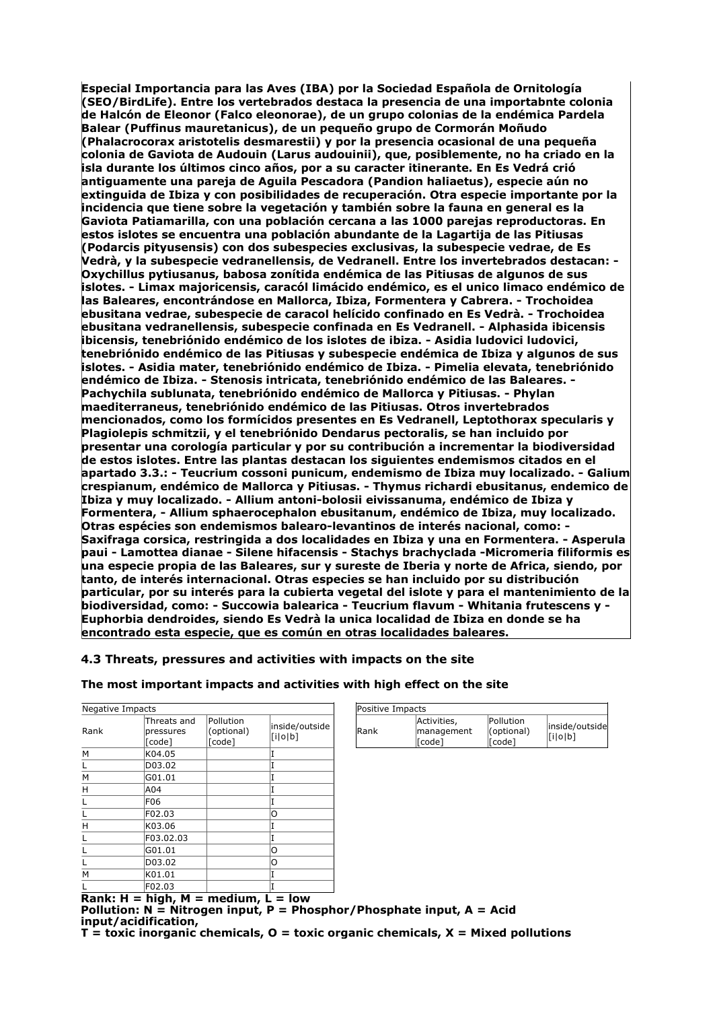**Especial Importancia para las Aves (IBA) por la Sociedad Española de Ornitología (SEO/BirdLife). Entre los vertebrados destaca la presencia de una importabnte colonia de Halcón de Eleonor (Falco eleonorae), de un grupo colonias de la endémica Pardela Balear (Puffinus mauretanicus), de un pequeño grupo de Cormorán Moñudo (Phalacrocorax aristotelis desmarestii) y por la presencia ocasional de una pequeña colonia de Gaviota de Audouin (Larus audouinii), que, posiblemente, no ha criado en la isla durante los últimos cinco años, por a su caracter itinerante. En Es Vedrá crió antiguamente una pareja de Aguila Pescadora (Pandion haliaetus), especie aún no extinguida de Ibiza y con posibilidades de recuperación. Otra especie importante por la incidencia que tiene sobre la vegetación y también sobre la fauna en general es la Gaviota Patiamarilla, con una población cercana a las 1000 parejas reproductoras. En estos islotes se encuentra una población abundante de la Lagartija de las Pitiusas (Podarcis pityusensis) con dos subespecies exclusivas, la subespecie vedrae, de Es Vedrà, y la subespecie vedranellensis, de Vedranell. Entre los invertebrados destacan: - Oxychillus pytiusanus, babosa zonítida endémica de las Pitiusas de algunos de sus islotes. - Limax majoricensis, caracól limácido endémico, es el unico limaco endémico de las Baleares, encontrándose en Mallorca, Ibiza, Formentera y Cabrera. - Trochoidea ebusitana vedrae, subespecie de caracol helícido confinado en Es Vedrà. - Trochoidea ebusitana vedranellensis, subespecie confinada en Es Vedranell. - Alphasida ibicensis ibicensis, tenebriónido endémico de los islotes de ibiza. - Asidia ludovici ludovici, tenebriónido endémico de las Pitiusas y subespecie endémica de Ibiza y algunos de sus islotes. - Asidia mater, tenebriónido endémico de Ibiza. - Pimelia elevata, tenebriónido endémico de Ibiza. - Stenosis intricata, tenebriónido endémico de las Baleares. - Pachychila sublunata, tenebriónido endémico de Mallorca y Pitiusas. - Phylan maediterraneus, tenebriónido endémico de las Pitiusas. Otros invertebrados mencionados, como los formícidos presentes en Es Vedranell, Leptothorax specularis y Plagiolepis schmitzii, y el tenebriónido Dendarus pectoralis, se han incluido por presentar una corología particular y por su contribución a incrementar la biodiversidad de estos islotes. Entre las plantas destacan los siguientes endemismos citados en el apartado 3.3.: - Teucrium cossoni punicum, endemismo de Ibiza muy localizado. - Galium crespianum, endémico de Mallorca y Pitiusas. - Thymus richardi ebusitanus, endemico de Ibiza y muy localizado. - Allium antoni-bolosii eivissanuma, endémico de Ibiza y Formentera, - Allium sphaerocephalon ebusitanum, endémico de Ibiza, muy localizado. Otras espécies son endemismos balearo-levantinos de interés nacional, como: - Saxifraga corsica, restringida a dos localidades en Ibiza y una en Formentera. - Asperula paui - Lamottea dianae - Silene hifacensis - Stachys brachyclada -Micromeria filiformis es una especie propia de las Baleares, sur y sureste de Iberia y norte de Africa, siendo, por tanto, de interés internacional. Otras especies se han incluido por su distribución particular, por su interés para la cubierta vegetal del islote y para el mantenimiento de la biodiversidad, como: - Succowia balearica - Teucrium flavum - Whitania frutescens y - Euphorbia dendroides, siendo Es Vedrà la unica localidad de Ibiza en donde se ha encontrado esta especie, que es común en otras localidades baleares.**

#### **4.3 Threats, pressures and activities with impacts on the site**

# **The most important impacts and activities with high effect on the site**

| Negative Impacts |                                    |                                   |                           |  |
|------------------|------------------------------------|-----------------------------------|---------------------------|--|
| Rank             | Threats and<br>pressures<br>[code] | Pollution<br>(optional)<br>[code] | inside/outside<br>[i o b] |  |
| M                | K04.05                             |                                   | Ī                         |  |
| L                | D03.02                             |                                   | I                         |  |
| M                | G01.01                             |                                   | I                         |  |
| н                | A04                                |                                   | I                         |  |
| L                | F06                                |                                   | I                         |  |
| L                | F02.03                             |                                   | O                         |  |
| Н                | K03.06                             |                                   | Ī                         |  |
| Г                | F03.02.03                          |                                   | I                         |  |
| L                | G01.01                             |                                   | O                         |  |
| L                | D03.02                             |                                   | Ο                         |  |
| M                | K01.01                             |                                   | I                         |  |
| L                | F02.03                             |                                   | T                         |  |
| -<br>. .<br>. .  | .<br>                              |                                   |                           |  |

| Positive Impacts |                                      |                                   |                           |
|------------------|--------------------------------------|-----------------------------------|---------------------------|
| lRank            | Activities,<br>management<br>l[code] | Pollution<br>(optional)<br>[Code] | inside/outside<br>[i o b] |

**Rank: H = high, M = medium, L = low Pollution: N = Nitrogen input, P = Phosphor/Phosphate input, A = Acid input/acidification, T = toxic inorganic chemicals, O = toxic organic chemicals, X = Mixed pollutions**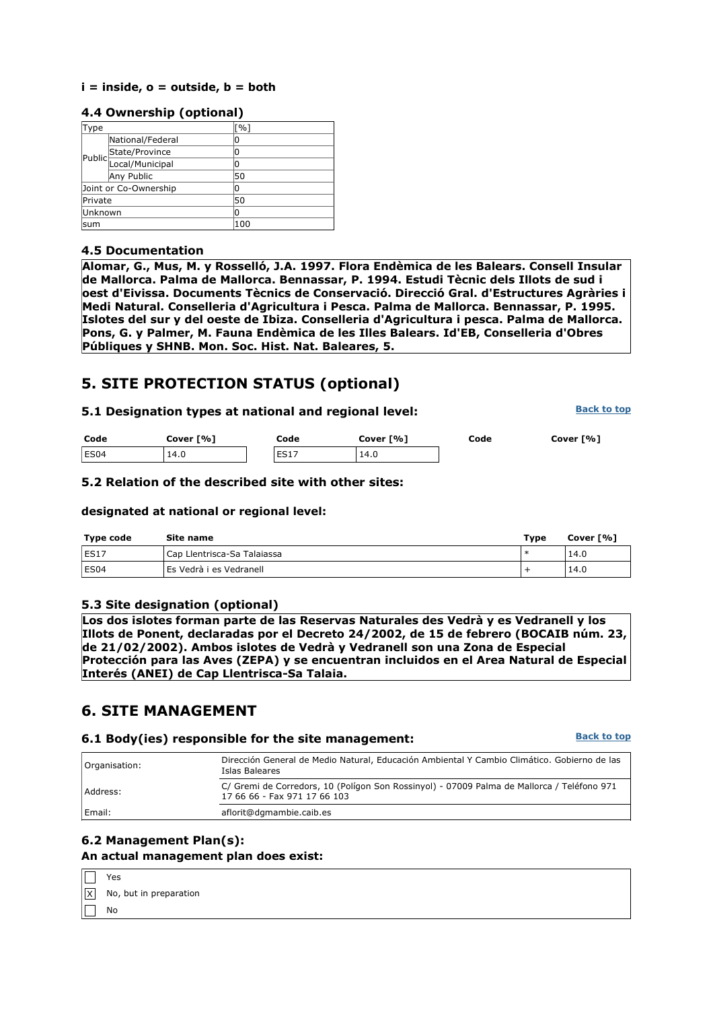#### **i = inside, o = outside, b = both**

#### **4.4 Ownership (optional)**

| Type                  |                        | [%] |
|-----------------------|------------------------|-----|
|                       | National/Federal       | 0   |
|                       | State/Province         | 0   |
|                       | Public Local/Municipal | 0   |
|                       | Any Public             | 50  |
| Joint or Co-Ownership |                        | 0   |
| Private               |                        | 50  |
| Unknown               |                        | 0   |
| lsum                  |                        | 100 |

#### **4.5 Documentation**

**Alomar, G., Mus, M. y Rosselló, J.A. 1997. Flora Endèmica de les Balears. Consell Insular de Mallorca. Palma de Mallorca. Bennassar, P. 1994. Estudi Tècnic dels Illots de sud i oest d'Eivissa. Documents Tècnics de Conservació. Direcció Gral. d'Estructures Agràries i Medi Natural. Conselleria d'Agricultura i Pesca. Palma de Mallorca. Bennassar, P. 1995. Islotes del sur y del oeste de Ibiza. Conselleria d'Agricultura i pesca. Palma de Mallorca. Pons, G. y Palmer, M. Fauna Endèmica de les Illes Balears. Id'EB, Conselleria d'Obres Públiques y SHNB. Mon. Soc. Hist. Nat. Baleares, 5.**

## **5. SITE PROTECTION STATUS (optional)**

#### **5.1 Designation types at national and regional level:**

**Back to top**

| Code | Cover [%] | Code        | Cover [%] | Code | Cover [%] |
|------|-----------|-------------|-----------|------|-----------|
| ES04 | 14.0      | <b>ES17</b> | 14.0      |      |           |

#### **5.2 Relation of the described site with other sites:**

#### **designated at national or regional level:**

| <b>Type code</b> | Site name                   | Type | Cover [%] |
|------------------|-----------------------------|------|-----------|
| ES1.             | Cap Llentrisca-Sa Talaiassa |      | 14.0      |
| ES <sub>04</sub> | LEs Vedrà i es Vedranell    |      | 14.0      |

#### **5.3 Site designation (optional)**

**Los dos islotes forman parte de las Reservas Naturales des Vedrà y es Vedranell y los Illots de Ponent, declaradas por el Decreto 24/2002, de 15 de febrero (BOCAIB núm. 23, de 21/02/2002). Ambos islotes de Vedrà y Vedranell son una Zona de Especial Protección para las Aves (ZEPA) y se encuentran incluidos en el Area Natural de Especial Interés (ANEI) de Cap Llentrisca-Sa Talaia.**

## **6. SITE MANAGEMENT**

#### **6.1 Body(ies) responsible for the site management:**

**Back to top**

| Organisation: | Dirección General de Medio Natural, Educación Ambiental Y Cambio Climático. Gobierno de las<br>Islas Baleares              |
|---------------|----------------------------------------------------------------------------------------------------------------------------|
| Address:      | C/ Gremi de Corredors, 10 (Polígon Son Rossinyol) - 07009 Palma de Mallorca / Teléfono 971<br>17 66 66 - Fax 971 17 66 103 |
| Email:        | aflorit@dgmambie.caib.es                                                                                                   |

#### **6.2 Management Plan(s): An actual management plan does exist:**

| $\Box$ Yes |                                           |
|------------|-------------------------------------------|
|            | $\boxed{\text{X}}$ No, but in preparation |
| $\Box$ No  |                                           |